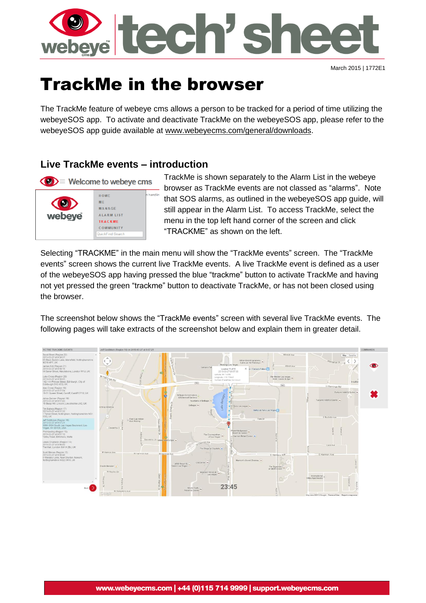

March 2015 | 1772E1

# TrackMe in the browser

The TrackMe feature of webeye cms allows a person to be tracked for a period of time utilizing the webeyeSOS app. To activate and deactivate TrackMe on the webeyeSOS app, please refer to the webeyeSOS app guide available at [www.webeyecms.com/general/downloads.](http://www.webeyecms.com/general/downloads)

# **Live TrackMe events – introduction**



TrackMe is shown separately to the Alarm List in the webeye browser as TrackMe events are not classed as "alarms". Note that SOS alarms, as outlined in the webeyeSOS app guide, will still appear in the Alarm List. To access TrackMe, select the menu in the top left hand corner of the screen and click "TRACKME" as shown on the left.

Selecting "TRACKME" in the main menu will show the "TrackMe events" screen. The "TrackMe events" screen shows the current live TrackMe events. A live TrackMe event is defined as a user of the webeyeSOS app having pressed the blue "trackme" button to activate TrackMe and having not yet pressed the green "trackme" button to deactivate TrackMe, or has not been closed using the browser.

The screenshot below shows the "TrackMe events" screen with several live TrackMe events. The following pages will take extracts of the screenshot below and explain them in greater detail.

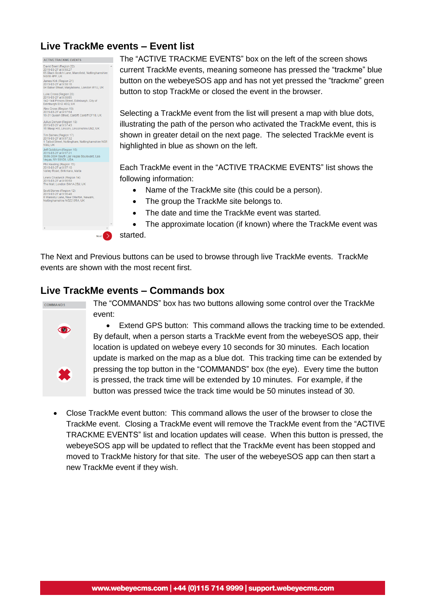## **Live TrackMe events – Event list**



The "ACTIVE TRACKME EVENTS" box on the left of the screen shows current TrackMe events, meaning someone has pressed the "trackme" blue button on the webeyeSOS app and has not yet pressed the "trackme" green button to stop TrackMe or closed the event in the browser.

Selecting a TrackMe event from the list will present a map with blue dots, illustrating the path of the person who activated the TrackMe event, this is shown in greater detail on the next page. The selected TrackMe event is highlighted in blue as shown on the left.

Each TrackMe event in the "ACTIVE TRACKME EVENTS" list shows the following information:

- Name of the TrackMe site (this could be a person).
- The group the TrackMe site belongs to.
- The date and time the TrackMe event was started.
- The approximate location (if known) where the TrackMe event was

started.

 $Next$ 

The Next and Previous buttons can be used to browse through live TrackMe events. TrackMe events are shown with the most recent first.

### **Live TrackMe events – Commands box**



The "COMMANDS" box has two buttons allowing some control over the TrackMe event:

 Extend GPS button: This command allows the tracking time to be extended. By default, when a person starts a TrackMe event from the webeyeSOS app, their location is updated on webeye every 10 seconds for 30 minutes. Each location update is marked on the map as a blue dot. This tracking time can be extended by pressing the top button in the "COMMANDS" box (the eye). Every time the button is pressed, the track time will be extended by 10 minutes. For example, if the button was pressed twice the track time would be 50 minutes instead of 30.

 Close TrackMe event button: This command allows the user of the browser to close the TrackMe event. Closing a TrackMe event will remove the TrackMe event from the "ACTIVE TRACKME EVENTS" list and location updates will cease. When this button is pressed, the webeyeSOS app will be updated to reflect that the TrackMe event has been stopped and moved to TrackMe history for that site. The user of the webeyeSOS app can then start a new TrackMe event if they wish.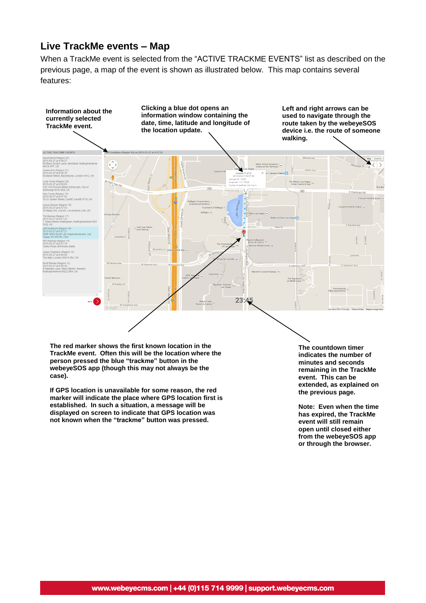#### **Live TrackMe events – Map**

When a TrackMe event is selected from the "ACTIVE TRACKME EVENTS" list as described on the previous page, a map of the event is shown as illustrated below. This map contains several features:



**The red marker shows the first known location in the TrackMe event. Often this will be the location where the person pressed the blue "trackme" button in the webeyeSOS app (though this may not always be the case).**

**If GPS location is unavailable for some reason, the red marker will indicate the place where GPS location first is established. In such a situation, a message will be displayed on screen to indicate that GPS location was not known when the "trackme" button was pressed.**

**The countdown timer indicates the number of minutes and seconds remaining in the TrackMe event. This can be extended, as explained on the previous page.**

**Note: Even when the time has expired, the TrackMe event will still remain open until closed either from the webeyeSOS app or through the browser.**